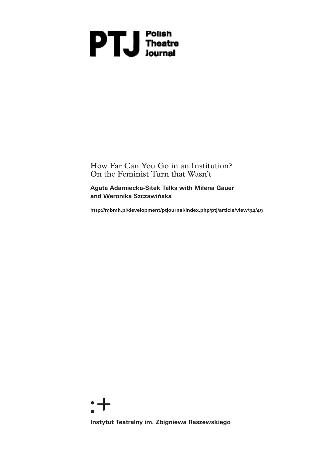# **DTU** Polish<br>Ineatre

How Far Can You Go in an Institution? On the Feminist Turn that Wasn't

**Agata Adamiecka-Sitek Talks with Milena Gauer and Weronika Szczawińska**

**http://mbmh.pl/development/ptjournal/index.php/ptj/article/view/34/49**

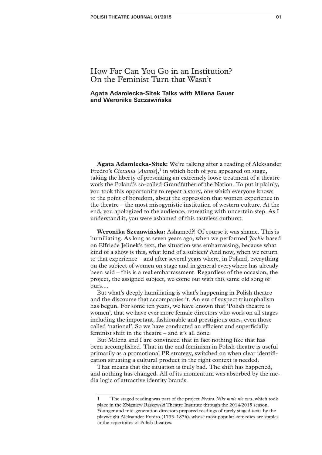# How Far Can You Go in an Institution? On the Feminist Turn that Wasn't

**Agata Adamiecka-Sitek Talks with Milena Gauer and Weronika Szczawińska**

**Agata Adamiecka-Sitek:** We're talking after a reading of Aleksander Fredro's *Ciotunia* [*Auntie*],<sup>1</sup> in which both of you appeared on stage, taking the liberty of presenting an extremely loose treatment of a theatre work the Poland's so-called Grandfather of the Nation. To put it plainly, you took this opportunity to repeat a story, one which everyone knows to the point of boredom, about the oppression that women experience in the theatre – the most misogynistic institution of western culture. At the end, you apologized to the audience, retreating with uncertain step. As I understand it, you were ashamed of this tasteless outburst.

**Weronika Szczawińska:** Ashamed?! Of course it was shame. This is humiliating. As long as seven years ago, when we performed *Jackie* based on Elfriede Jelinek's text, the situation was embarrassing, because what kind of a show is this, what kind of a subject? And now, when we return to that experience – and after several years where, in Poland, everything on the subject of women on stage and in general everywhere has already been said – this is a real embarrassment. Regardless of the occasion, the project, the assigned subject, we come out with this same old song of ours....

But what's deeply humiliating is what's happening in Polish theatre and the discourse that accompanies it. An era of suspect triumphalism has begun. For some ten years, we have known that 'Polish theatre is women', that we have ever more female directors who work on all stages including the important, fashionable and prestigious ones, even those called 'national'. So we have conducted an efficient and superficially feminist shift in the theatre – and it's all done.

But Milena and I are convinced that in fact nothing like that has been accomplished. That in the end feminism in Polish theatre is useful primarily as a promotional PR strategy, switched on when clear identification situating a cultural product in the right context is needed.

That means that the situation is truly bad. The shift has happened, and nothing has changed. All of its momentum was absorbed by the media logic of attractive identity brands.

<sup>1</sup> The staged reading was part of the project *Fredro. Nikt mnie nie zna*, which took place in the Zbigniew Raszewski Theatre Institute through the 2014/2015 season. Younger and mid-generation directors prepared readings of rarely staged texts by the playwright Aleksander Fredro (1793–1876), whose most popular comedies are staples in the repertoires of Polish theatres.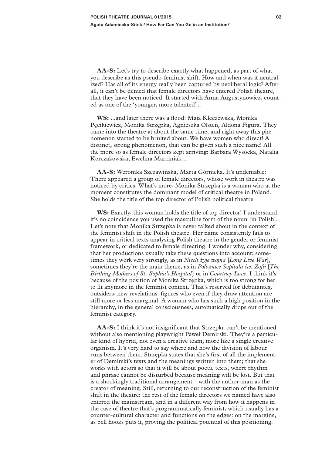**AA-S:** Let's try to describe exactly what happened, as part of what you describe as this pseudo-feminist shift. How and when was it neutralized? Has all of its energy really been captured by neoliberal logic? After all, it can't be denied that female directors have entered Polish theatre, that they have been noticed. It started with Anna Augustynowicz, counted as one of the 'younger, more talented'...

**WS:** ...and later there was a flood: Maja Kleczewska, Monika Pęcikiewicz, Monika Strzępka, Agnieszka Olsten, Aldona Figura. They came into the theatre at about the same time, and right away this phenomenon started to be bruited about. We have women who direct! A distinct, strong phenomenon, that can be given such a nice name! All the more so as female directors kept arriving: Barbara Wysocka, Natalia Korczakowska, Ewelina Marciniak…

**AA-S:** Weronika Szczawińska, Marta Górnicka. It's undeniable: There appeared a group of female directors, whose work in theatre was noticed by critics. What's more, Monika Strzępka is a woman who at the moment constitutes the dominant model of critical theatre in Poland. She holds the title of the top director of Polish political theatre.

**WS:** Exactly, this woman holds the title of top director! I understand it's no coincidence you used the masculine form of the noun [in Polish]. Let's note that Monika Strzępka is never talked about in the context of the feminist shift in the Polish theatre. Her name consistently fails to appear in critical texts analysing Polish theatre in the gender or feminist framework, or dedicated to female directing. I wonder why, considering that her productions usually take these questions into account; sometimes they work very strongly, as in *Niech żyje wojna* [*Long Live War*], sometimes they're the main theme, as in *Położnice Szpitala św. Zofii* [*The Birthing Mothers of St. Sophia's Hospital*] or in *Courtney Love*. I think it's because of the position of Monika Strzępka, which is too strong for her to fit anymore in the feminist context. That's reserved for debutantes, outsiders, new revelations: figures who even if they draw attention are still more or less marginal. A woman who has such a high position in the hierarchy, in the general consciousness, automatically drops out of the feminist category.

**AA-S:** I think it's not insignificant that Strzępka can't be mentioned without also mentioning playwright Paweł Demirski. They're a particular kind of hybrid, not even a creative team, more like a single creative organism. It's very hard to say where and how the division of labour runs between them. Strzępka states that she's first of all the implementer of Demirski's texts and the meanings written into them; that she works with actors so that it will be about poetic texts, where rhythm and phrase cannot be disturbed because meaning will be lost. But that is a shockingly traditional arrangement – with the author-man as the creator of meaning. Still, returning to our reconstruction of the feminist shift in the theatre: the rest of the female directors we named have also entered the mainstream, and in a different way from how it happens in the case of theatre that's programmatically feminist, which usually has a counter-cultural character and functions on the edges: on the margins, as bell hooks puts it, proving the political potential of this positioning.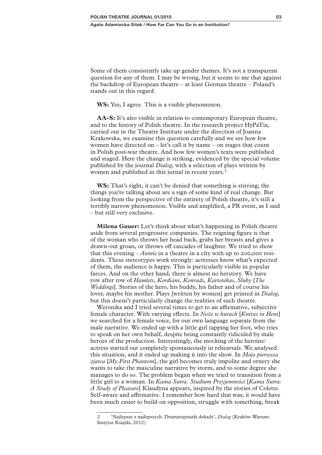Some of them consistently take up gender themes. It's not a transparent question for any of them. I may be wrong, but it seems to me that against the backdrop of European theatre – at least German theatre – Poland's stands out in this regard.

**WS:** Yes, I agree. This is a visible phenomenon.

**AA-S:** It's also visible in relation to contemporary European theatre, and to the history of Polish theatre. In the research project HyPaTia, carried out in the Theatre Institute under the direction of Joanna Krakowska, we examine this question carefully and we see how few women have directed on  $-\text{let's call it by name } - \text{ on stages that count}$ in Polish post-war theatre. And how few women's texts were published and staged. Here the change is striking, evidenced by the special volume published by the journal *Dialog*, with a selection of plays written by women and published in this jurnal in recent years.<sup>2</sup>

**WS:** That's right, it can't be denied that something is stirring; the things you're talking about are a sign of some kind of real change. But looking from the perspective of the entirety of Polish theatre, it's still a terribly narrow phenomenon. Visible and amplified, a PR event, as I said – but still very exclusive.

**Milena Gauer:** Let's think about what's happening in Polish theatre aside from several progressive companies. The reigning figure is that of the woman who throws her head back, grabs her breasts and gives a drawn-out groan, or throws off cascades of laughter. We tried to show that this evening – *Auntie* in a theatre in a city with up to 200,000 residents. These stereotypes work strongly: actresses know what's expected of them, the audience is happy. This is particularly visible in popular farces. And on the other hand, there is almost no herstory. We have row after row of *Hamlets*, *Kordians*, *Konrads*, *Kartotekas*, *Śluby* [*The Weddings*]. Stories of the hero, his buddy, his father and of course his lover, maybe his mother. Plays [written by women] get printed in *Dialog*, but this doesn't particularly change the realities of such theatre.

Weronika and I tried several times to get to an affirmative, subjective female character. With varying effects. In *Noże w kurach* [*Knives in Hens*] we searched for a female voice, for our own language separate from the male narrative. We ended up with a little girl tapping her foot, who tries to speak on her own behalf, despite being constantly ridiculed by male heroes of the production. Interestingly, the mocking of the heroine/ actress started out completely spontaneously in rehearsals. We analysed this situation, and it ended up making it into the show. In *Moja pierwsza zjawa* [*My First Phantom*], the girl becomes truly impolite and ornery she wants to take the masculine narrative by storm, and to some degree she manages to do so. The problem began when we tried to transition from a little girl to a woman. In *Kama Sutra. Studium Przyjemności* [*Kama Sutra: A Study of Pleasure*] Klaudyna appears, inspired by the stories of Colette. Self-aware and affirmative. I remember how hard that was; it would have been much easier to build on opposition, struggle with something, break

<sup>2 &#</sup>x27;Najlepsze z najlepszych. Dramatopisarki dekady', *Dialog* (Kraków-Warsaw: Instytut Książki, 2012).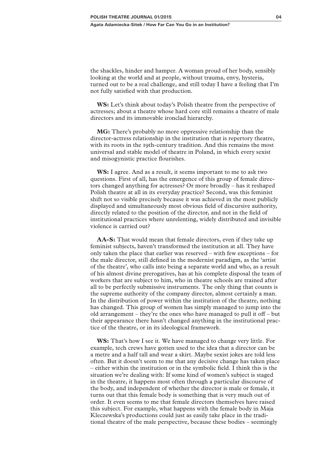the shackles, hinder and hamper. A woman proud of her body, sensibly looking at the world and at people, without trauma, envy, hysteria, turned out to be a real challenge, and still today I have a feeling that I'm not fully satisfied with that production.

**WS:** Let's think about today's Polish theatre from the perspective of actresses; about a theatre whose hard core still remains a theatre of male directors and its immovable ironclad hierarchy.

**MG:** There's probably no more oppressive relationship than the director-actress relationship in the institution that is repertory theatre, with its roots in the 19th-century tradition. And this remains the most universal and stable model of theatre in Poland, in which every sexist and misogynistic practice flourishes.

**WS:** I agree. And as a result, it seems important to me to ask two questions. First of all, has the emergence of this group of female directors changed anything for actresses? Or more broadly – has it reshaped Polish theatre at all in its everyday practice? Second, was this feminist shift not so visible precisely because it was achieved in the most publicly displayed and simultaneously most obvious field of discursive authority, directly related to the position of the director, and not in the field of institutional practices where unrelenting, widely distributed and invisible violence is carried out?

**AA-S:** That would mean that female directors, even if they take up feminist subjects, haven't transformed the institution at all. They have only taken the place that earlier was reserved – with few exceptions – for the male director, still defined in the modernist paradigm, as the 'artist of the theatre', who calls into being a separate world and who, as a result of his almost divine prerogatives, has at his complete disposal the team of workers that are subject to him, who in theatre schools are trained after all to be perfectly submissive instruments. The only thing that counts is the supreme authority of the company director, almost certainly a man. In the distribution of power within the institution of the theatre, nothing has changed. This group of women has simply managed to jump into the old arrangement – they're the ones who have managed to pull it off – but their appearance there hasn't changed anything in the institutional practice of the theatre, or in its ideological framework.

**WS:** That's how I see it. We have managed to change very little. For example, tech crews have gotten used to the idea that a director can be a metre and a half tall and wear a skirt. Maybe sexist jokes are told less often. But it doesn't seem to me that any decisive change has taken place – either within the institution or in the symbolic field. I think this is the situation we're dealing with: If some kind of women's subject is staged in the theatre, it happens most often through a particular discourse of the body, and independent of whether the director is male or female, it turns out that this female body is something that is very much out of order. It even seems to me that female directors themselves have raised this subject. For example, what happens with the female body in Maja Kleczewska's productions could just as easily take place in the traditional theatre of the male perspective, because these bodies – seemingly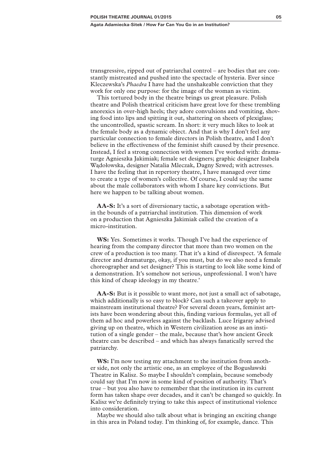transgressive, ripped out of patriarchal control – are bodies that are constantly mistreated and pushed into the spectacle of hysteria. Ever since Kleczewska's *Phaedra* I have had the unshakeable conviction that they work for only one purpose: for the image of the woman as victim.

This tortured body in the theatre brings us great pleasure. Polish theatre and Polish theatrical criticism have great love for these trembling anorexics in over-high heels; they adore convulsions and vomiting, shoving food into lips and spitting it out, shattering on sheets of plexiglass; the uncontrolled, spastic scream. In short: it very much likes to look at the female body as a dynamic object. And that is why I don't feel any particular connection to female directors in Polish theatre, and I don't believe in the effectiveness of the feminist shift caused by their presence. Instead, I feel a strong connection with women I've worked with: dramaturge Agnieszka Jakimiak; female set designers; graphic designer Izabela Wądołowska, designer Natalia Mleczak, Dagny Szwed; with actresses. I have the feeling that in repertory theatre, I have managed over time to create a type of women's collective. Of course, I could say the same about the male collaborators with whom I share key convictions. But here we happen to be talking about women.

**AA-S:** It's a sort of diversionary tactic, a sabotage operation within the bounds of a patriarchal institution. This dimension of work on a production that Agnieszka Jakimiak called the creation of a micro-institution.

**WS:** Yes. Sometimes it works. Though I've had the experience of hearing from the company director that more than two women on the crew of a production is too many. That it's a kind of disrespect. 'A female director and dramaturge, okay, if you must, but do we also need a female choreographer and set designer? This is starting to look like some kind of a demonstration. It's somehow not serious, unprofessional. I won't have this kind of cheap ideology in my theatre.'

**AA-S:** But is it possible to want more, not just a small act of sabotage, which additionally is so easy to block? Can such a takeover apply to mainstream institutional theatre? For several dozen years, feminist artists have been wondering about this, finding various formulas, yet all of them ad hoc and powerless against the backlash. Luce Irigaray advised giving up on theatre, which in Western civilization arose as an institution of a single gender – the male, because that's how ancient Greek theatre can be described – and which has always fanatically served the patriarchy.

**WS:** I'm now testing my attachment to the institution from another side, not only the artistic one, as an employee of the Bogusławski Theatre in Kalisz. So maybe I shouldn't complain, because somebody could say that I'm now in some kind of position of authority. That's true – but you also have to remember that the institution in its current form has taken shape over decades, and it can't be changed so quickly. In Kalisz we're definitely trying to take this aspect of institutional violence into consideration.

Maybe we should also talk about what is bringing an exciting change in this area in Poland today. I'm thinking of, for example, dance. This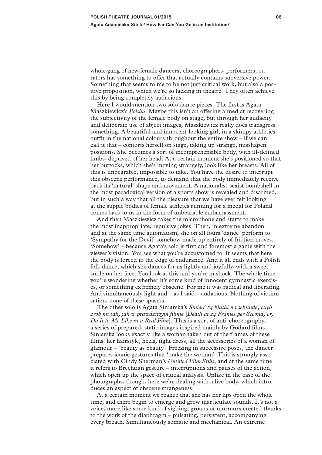whole gang of new female dancers, choreographers, performers, curators has something to offer that actually contains subversive power. Something that seems to me to be not just critical work, but also a positive proposition, which we're so lacking in theatre. They often achieve this by being completely audacious.

Here I would mention two solo dance pieces. The first is Agata Maszkiewicz's *Polska*. Maybe this isn't an offering aimed at recovering the subjectivity of the female body on stage, but through her audacity and deliberate use of abject images, Maszkiewicz really does transgress something. A beautiful and innocent-looking girl, in a skimpy athletics outfit in the national colours throughout the entire show – if we can call it that – contorts herself on stage, taking up strange, misshapen positions. She becomes a sort of incomprehensible body, with ill-defined limbs, deprived of her head. At a certain moment she's positioned so that her buttocks, which she's moving strangely, look like her breasts. All of this is unbearable, impossible to take. You have the desire to interrupt this obscene performance, to demand that the body immediately receive back its 'natural' shape and movement. A nationalist-sexist bombshell in the most paradoxical version of a sports show is revealed and disarmed, but in such a way that all the pleasure that we have ever felt looking at the supple bodies of female athletes running for a medal for Poland comes back to us in the form of unbearable embarrassment.

And then Maszkiewicz takes the microphone and starts to make the most inappropriate, repulsive jokes. Then, in extreme abandon and at the same time automatism, she on all fours 'dance' perform to 'Sympathy for the Devil' somehow made up entirely of friction moves. 'Somehow' – because Agata's solo is first and foremost a game with the viewer's vision. You see what you're accustomed to. It seems that here the body is forced to the edge of endurance. And it all ends with a Polish folk dance, which she dances for us lightly and joyfully, with a sweet smile on her face. You look at this and you're in shock. The whole time you're wondering whether it's some kind of innocent gymnastic exercises, or something extremely obscene. For me it was radical and liberating. And simultaneously light and – as I said – audacious. Nothing of victimisation, none of these spasms.

The other solo is Agata Siniarska's *Śmierć 24 klatki na sekundę, czyli zrób mi tak, jak w prawdziwym filmie* [*Death at 24 Frames per Second, or, Do It to Me Like in a Real Film*]. This is a sort of anti-choreography, a series of prepared, static images inspired mainly by Godard films. Siniarska looks exactly like a woman taken out of the frames of these films: her hairstyle, heels, tight dress, all the accessories of a woman of glamour – 'beauty as beauty'. Freezing in successive poses, the dancer prepares iconic gestures that 'make the woman'. This is strongly associated with Cindy Sherman's *Untitled Film Stills*, and at the same time it refers to Brechtian gesture – interruptions and pauses of the action, which open up the space of critical analysis. Unlike in the case of the photographs, though, here we're dealing with a live body, which introduces an aspect of obscene strangeness.

At a certain moment we realize that she has her lips open the whole time, and there begin to emerge and grow inarticulate sounds. It's not a voice, more like some kind of sighing, groans or murmurs created thanks to the work of the diaphragm – pulsating, persistent, accompanying every breath. Simultaneously somatic and mechanical. An extreme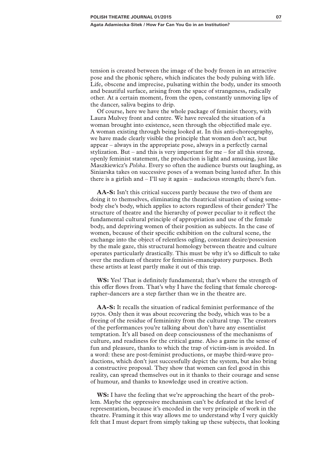tension is created between the image of the body frozen in an attractive pose and the phonic sphere, which indicates the body pulsing with life. Life, obscene and imprecise, pulsating within the body, under its smooth and beautiful surface, arising from the space of strangeness, radically other. At a certain moment, from the open, constantly unmoving lips of the dancer, saliva begins to drip.

Of course, here we have the whole package of feminist theory, with Laura Mulvey front and centre. We have revealed the situation of a woman brought into existence, seen through the objectified male eye. A woman existing through being looked at. In this anti-choreography, we have made clearly visible the principle that women don't act, but appear – always in the appropriate pose, always in a perfectly carnal stylization. But – and this is very important for me – for all this strong, openly feminist statement, the production is light and amusing, just like Maszkiewicz's *Polska*. Every so often the audience bursts out laughing, as Siniarska takes on successive poses of a woman being lusted after. In this there is a girlish and  $-$  I'll say it again  $-$  audacious strength; there's fun.

**AA-S:** Isn't this critical success partly because the two of them are doing it to themselves, eliminating the theatrical situation of using somebody else's body, which applies to actors regardless of their gender? The structure of theatre and the hierarchy of power peculiar to it reflect the fundamental cultural principle of appropriation and use of the female body, and depriving women of their position as subjects. In the case of women, because of their specific exhibition on the cultural scene, the exchange into the object of relentless ogling, constant desire/possession by the male gaze, this structural homology between theatre and culture operates particularly drastically. This must be why it's so difficult to take over the medium of theatre for feminist-emancipatory purposes. Both these artists at least partly make it out of this trap.

**WS:** Yes! That is definitely fundamental; that's where the strength of this offer flows from. That's why I have the feeling that female choreographer-dancers are a step farther than we in the theatre are.

**AA-S:** It recalls the situation of radical feminist performance of the 1970s. Only then it was about recovering the body, which was to be a freeing of the residue of femininity from the cultural trap. The creators of the performances you're talking about don't have any essentialist temptation. It's all based on deep consciousness of the mechanisms of culture, and readiness for the critical game. Also a game in the sense of fun and pleasure, thanks to which the trap of victim-ism is avoided. In a word: these are post-feminist productions, or maybe third-wave productions, which don't just successfully depict the system, but also bring a constructive proposal. They show that women can feel good in this reality, can spread themselves out in it thanks to their courage and sense of humour, and thanks to knowledge used in creative action.

**WS:** I have the feeling that we're approaching the heart of the problem. Maybe the oppressive mechanism can't be defeated at the level of representation, because it's encoded in the very principle of work in the theatre. Framing it this way allows me to understand why I very quickly felt that I must depart from simply taking up these subjects, that looking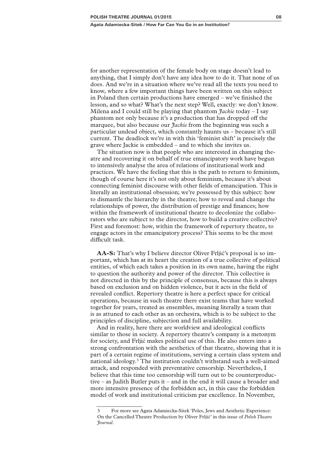#### **Agata Adamiecka-Sitek / How Far Can You Go in an Institution?**

for another representation of the female body on stage doesn't lead to anything, that I simply don't have any idea how to do it. That none of us does. And we're in a situation where we've read all the texts you need to know, where a few important things have been written on this subject in Poland then certain productions have emerged – we've finished the lesson, and so what? What's the next step? Well, exactly: we don't know. Milena and I could still be playing that phantom  $\hat{\mathcal{J}}$ *ackie* today – I say phantom not only because it's a production that has dropped off the marquee, but also because our *Jackie* from the beginning was such a particular undead object, which constantly haunts us – because it's still current. The deadlock we're in with this 'feminist shift' is precisely the grave where Jackie is embedded – and to which she invites us.

The situation now is that people who are interested in changing theatre and recovering it on behalf of true emancipatory work have begun to intensively analyse the area of relations of institutional work and practices. We have the feeling that this is the path to return to feminism, though of course here it's not only about feminism, because it's about connecting feminist discourse with other fields of emancipation. This is literally an institutional obsession; we're possessed by this subject: how to dismantle the hierarchy in the theatre; how to reveal and change the relationships of power, the distribution of prestige and finances; how within the framework of institutional theatre to decolonize the collaborators who are subject to the director, how to build a creative collective? First and foremost: how, within the framework of repertory theatre, to engage actors in the emancipatory process? This seems to be the most difficult task.

**AA-S:** That's why I believe director Oliver Frljić's proposal is so important, which has at its heart the creation of a true collective of political entities, of which each takes a position in its own name, having the right to question the authority and power of the director. This collective is not directed in this by the principle of consensus, because this is always based on exclusion and on hidden violence, but it acts in the field of revealed conflict. Repertory theatre is here a perfect space for critical operations, because in such theatre there exist teams that have worked together for years, treated as ensembles, meaning literally a team that is as attuned to each other as an orchestra, which is to be subject to the principles of discipline, subjection and full availability.

And in reality, here there are worldview and ideological conflicts similar to those in society. A repertory theatre's company is a metonym for society, and Frljić makes political use of this. He also enters into a strong confrontation with the aesthetics of that theatre, showing that it is part of a certain regime of institutions, serving a certain class system and national ideology.3 The institution couldn't withstand such a well-aimed attack, and responded with preventative censorship. Nevertheless, I believe that this time too censorship will turn out to be counterproductive – as Judith Butler puts it – and in the end it will cause a broader and more intensive presence of the forbidden act, in this case the forbidden model of work and institutional criticism par excellence. In November,

<sup>3</sup> For more see Agata Adamiecka-Sitek 'Poles, Jews and Aesthetic Experience: On the Cancelled Theatre Production by Oliver Frljić' in this issue of *Polish Theatre Journal*.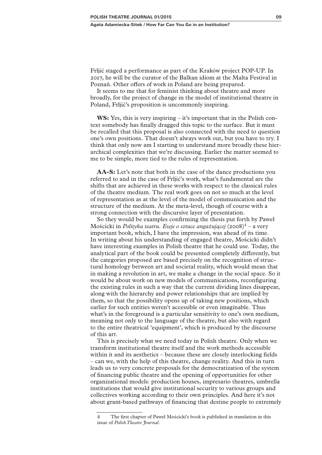Frljić staged a performance as part of the Kraków project POP-UP. In 2017, he will be the curator of the Balkan idiom at the Malta Festival in Poznań. Other offers of work in Poland are being prepared.

It seems to me that for feminist thinking about theatre and more broadly, for the project of change in the model of institutional theatre in Poland, Frljić's proposition is uncommonly inspiring.

**WS:** Yes, this is very inspiring – it's important that in the Polish context somebody has finally dragged this topic to the surface. But it must be recalled that this proposal is also connected with the need to question one's own positions. That doesn't always work out, but you have to try. I think that only now am I starting to understand more broadly these hierarchical complexities that we're discussing. Earlier the matter seemed to me to be simple, more tied to the rules of representation.

**AA-S:** Let's note that both in the case of the dance productions you referred to and in the case of Frljić's work, what's fundamental are the shifts that are achieved in these works with respect to the classical rules of the theatre medium. The real work goes on not so much at the level of representation as at the level of the model of communication and the structure of the medium. At the meta-level, though of course with a strong connection with the discursive layer of presentation.

So they would be examples confirming the thesis put forth by Paweł Mościcki in *Polityka teatru. Eseje o sztuce angażującej* (2008)4 – a very important book, which, I have the impression, was ahead of its time. In writing about his understanding of engaged theatre, Mościcki didn't have interesting examples in Polish theatre that he could use. Today, the analytical part of the book could be presented completely differently, but the categories proposed are based precisely on the recognition of structural homology between art and societal reality, which would mean that in making a revolution in art, we make a change in the social space. So it would be about work on new models of communications, reconfiguring the existing rules in such a way that the current dividing lines disappear, along with the hierarchy and power relationships that are implied by them, so that the possibility opens up of taking new positions, which earlier for such entities weren't accessible or even imaginable. Thus what's in the foreground is a particular sensitivity to one's own medium, meaning not only to the language of the theatre, but also with regard to the entire theatrical 'equipment', which is produced by the discourse of this art.

This is precisely what we need today in Polish theatre. Only when we transform institutional theatre itself and the work methods accessible within it and its aesthetics – because these are closely interlocking fields – can we, with the help of this theatre, change reality. And this in turn leads us to very concrete proposals for the democratization of the system of financing public theatre and the opening of opportunities for other organizational models: production houses, impresario theatres, umbrella institutions that would give institutional security to various groups and collectives working according to their own principles. And here it's not about grant-based pathways of financing that destine people to extremely

<sup>4</sup> The first chapter of Paweł Mościcki's book is published in translation in this issue of *Polish Theatre Journal*.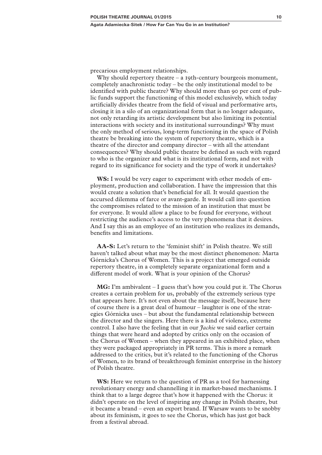precarious employment relationships.

Why should repertory theatre – a 19th-century bourgeois monument, completely anachronistic today – be the only institutional model to be identified with public theatre? Why should more than 90 per cent of public funds support the functioning of this model exclusively, which today artificially divides theatre from the field of visual and performative arts, closing it in a silo of an organizational form that is no longer adequate, not only retarding its artistic development but also limiting its potential interactions with society and its institutional surroundings? Why must the only method of serious, long-term functioning in the space of Polish theatre be breaking into the system of repertory theatre, which is a theatre of the director and company director – with all the attendant consequences? Why should public theatre be defined as such with regard to who is the organizer and what is its institutional form, and not with regard to its significance for society and the type of work it undertakes?

**WS:** I would be very eager to experiment with other models of employment, production and collaboration. I have the impression that this would create a solution that's beneficial for all. It would question the accursed dilemma of farce or avant-garde. It would call into question the compromises related to the mission of an institution that must be for everyone. It would allow a place to be found for everyone, without restricting the audience's access to the very phenomena that it desires. And I say this as an employee of an institution who realizes its demands, benefits and limitations.

**AA-S:** Let's return to the 'feminist shift' in Polish theatre. We still haven't talked about what may be the most distinct phenomenon: Marta Górnicka's Chorus of Women. This is a project that emerged outside repertory theatre, in a completely separate organizational form and a different model of work. What is your opinion of the Chorus?

**MG:** I'm ambivalent – I guess that's how you could put it. The Chorus creates a certain problem for us, probably of the extremely serious type that appears here. It's not even about the message itself, because here of course there is a great deal of humour – laughter is one of the strategies Górnicka uses – but about the fundamental relationship between the director and the singers. Here there is a kind of violence, extreme control. I also have the feeling that in our *Jackie* we said earlier certain things that were heard and adopted by critics only on the occasion of the Chorus of Women – when they appeared in an exhibited place, when they were packaged appropriately in PR terms. This is more a remark addressed to the critics, but it's related to the functioning of the Chorus of Women, to its brand of breakthrough feminist enterprise in the history of Polish theatre.

**WS:** Here we return to the question of PR as a tool for harnessing revolutionary energy and channelling it in market-based mechanisms. I think that to a large degree that's how it happened with the Chorus: it didn't operate on the level of inspiring any change in Polish theatre, but it became a brand – even an export brand. If Warsaw wants to be snobby about its feminism, it goes to see the Chorus, which has just got back from a festival abroad.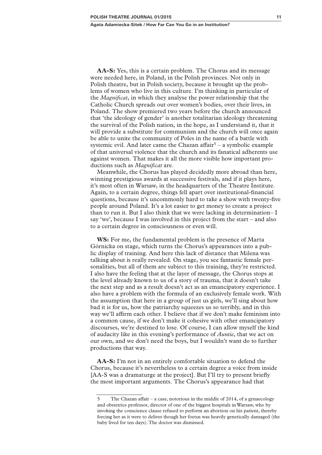**AA-S:** Yes, this is a certain problem. The Chorus and its message were needed here, in Poland, in the Polish provinces. Not only in Polish theatre, but in Polish society, because it brought up the problems of women who live in this culture. I'm thinking in particular of the *Magnificat*, in which they analyse the power relationship that the Catholic Church spreads out over women's bodies, over their lives, in Poland. The show premiered two years before the church announced that 'the ideology of gender' is another totalitarian ideology threatening the survival of the Polish nation, in the hope, as I understand it, that it will provide a substitute for communism and the church will once again be able to unite the community of Poles in the name of a battle with systemic evil. And later came the Chazan affair<sup>5</sup> – a symbolic example of that universal violence that the church and its fanatical adherents use against women. That makes it all the more visible how important productions such as *Magnificat* are.

Meanwhile, the Chorus has played decidedly more abroad than here, winning prestigious awards at successive festivals, and if it plays here, it's most often in Warsaw, in the headquarters of the Theatre Institute. Again, to a certain degree, things fell apart over institutional-financial questions, because it's uncommonly hard to take a show with twenty-five people around Poland. It's a lot easier to get money to create a project than to run it. But I also think that we were lacking in determination– I say 'we', because I was involved in this project from the start – and also to a certain degree in consciousness or even will.

**WS:** For me, the fundamental problem is the presence of Marta Górnicka on stage, which turns the Chorus's appearances into a public display of training. And here this lack of distance that Milena was talking about is really revealed. On stage, you see fantastic female personalities, but all of them are subject to this training, they're restricted. I also have the feeling that at the layer of message, the Chorus stops at the level already known to us of a story of trauma, that it doesn't take the next step and as a result doesn't act as an emancipatory experience. I also have a problem with the formula of an exclusively female work. With the assumption that here in a group of just us girls, we'll sing about how bad it is for us, how the patriarchy squeezes us so terribly, and in this way we'll affirm each other. I believe that if we don't make feminism into a common cause, if we don't make it cohesive with other emancipatory discourses, we're destined to lose. Of course, I can allow myself the kind of audacity like in this evening's performance of *Auntie*, that we act on our own, and we don't need the boys, but I wouldn't want do to further productions that way.

**AA-S:** I'm not in an entirely comfortable situation to defend the Chorus, because it's nevertheless to a certain degree a voice from inside [AA-S was a dramaturge at the project]. But I'll try to present briefly the most important arguments. The Chorus's appearance had that

<sup>5</sup> The Chazan affair – a case, notorious in the middle of 2014, of a gynaecology and obstetrics professor, director of one of the biggest hospitals in Warsaw, who by invoking the conscience clause refused to perform an abortion on his patient, thereby forcing her as it were to deliver though her foetus was heavily genetically damaged (the baby lived for ten days). The doctor was dismissed.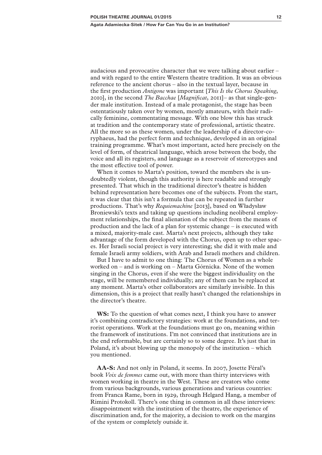### **Agata Adamiecka-Sitek / How Far Can You Go in an Institution?**

audacious and provocative character that we were talking about earlier – and with regard to the entire Western theatre tradition. It was an obvious reference to the ancient chorus – also in the textual layer, because in the first production *Antigone* was important [*This Is the Chorus Speaking*, 2010], in the second *The Bacchae* [*Magnificat*, 2011]– as that single-gender male institution. Instead of a male protagonist, the stage has been ostentatiously taken over by women, mostly amateurs, with their radically feminine, commentating message. With one blow this has struck at tradition and the contemporary state of professional, artistic theatre. All the more so as these women, under the leadership of a director-coryphaeus, had the perfect form and technique, developed in an original training programme. What's most important, acted here precisely on the level of form, of theatrical language, which arose between the body, the voice and all its registers, and language as a reservoir of stereotypes and the most effective tool of power.

When it comes to Marta's position, toward the members she is undoubtedly violent, though this authority is here readable and strongly presented. That which in the traditional director's theatre is hidden behind representation here becomes one of the subjects. From the start, it was clear that this isn't a formula that can be repeated in further productions. That's why *Requiemachine* [2013], based on Władysław Broniewski's texts and taking up questions including neoliberal employment relationships, the final alienation of the subject from the means of production and the lack of a plan for systemic change – is executed with a mixed, majority-male cast. Marta's next projects, although they take advantage of the form developed with the Chorus, open up to other spaces. Her Israeli social project is very interesting; she did it with male and female Israeli army soldiers, with Arab and Israeli mothers and children.

But I have to admit to one thing: The Chorus of Women as a whole worked on – and is working on – Marta Górnicka. None of the women singing in the Chorus, even if she were the biggest individuality on the stage, will be remembered individually; any of them can be replaced at any moment. Marta's other collaborators are similarly invisible. In this dimension, this is a project that really hasn't changed the relationships in the director's theatre.

**WS:** To the question of what comes next, I think you have to answer it's combining contradictory strategies: work at the foundations, and terrorist operations. Work at the foundations must go on, meaning within the framework of institutions. I'm not convinced that institutions are in the end reformable, but are certainly so to some degree. It's just that in Poland, it's about blowing up the monopoly of the institution – which you mentioned.

**AA-S:** And not only in Poland, it seems. In 2007, Josette Féral's book *Voix de femmes* came out, with more than thirty interviews with women working in theatre in the West. These are creators who come from various backgrounds, various generations and various countries: from Franca Rame, born in 1929, through Helgard Hang, a member of Rimini Protokoll. There's one thing in common in all these interviews: disappointment with the institution of the theatre, the experience of discrimination and, for the majority, a decision to work on the margins of the system or completely outside it.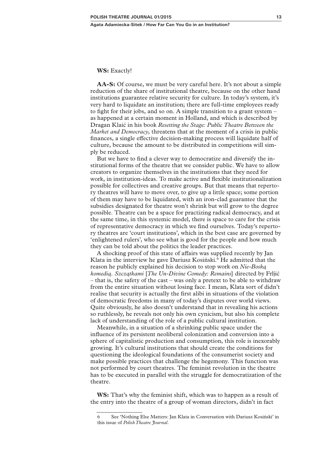## **WS:** Exactly!

**AA-S:** Of course, we must be very careful here. It's not about a simple reduction of the share of institutional theatre, because on the other hand institutions guarantee relative security for culture. In today's system, it's very hard to liquidate an institution; there are full-time employees ready to fight for their jobs, and so on. A simple transition to a grant system – as happened at a certain moment in Holland, and which is described by Dragan Klaić in his book *Resetting the Stage: Public Theatre Between the Market and Democracy*, threatens that at the moment of a crisis in public finances, a single effective decision-making process will liquidate half of culture, because the amount to be distributed in competitions will simply be reduced.

But we have to find a clever way to democratize and diversify the institutional forms of the theatre that we consider public. We have to allow creators to organize themselves in the institutions that they need for work, in institution-ideas. To make active and flexible institutionalization possible for collectives and creative groups. But that means that repertory theatres will have to move over, to give up a little space; some portion of them may have to be liquidated, with an iron-clad guarantee that the subsidies designated for theatre won't shrink but will grow to the degree possible. Theatre can be a space for practizing radical democracy, and at the same time, in this systemic model, there is space to care for the crisis of representative democracy in which we find ourselves. Today's repertory theatres are 'court institutions', which in the best case are governed by 'enlightened rulers', who see what is good for the people and how much they can be told about the politics the leader practices.

A shocking proof of this state of affairs was supplied recently by Jan Klata in the interview he gave Dariusz Kosiński.<sup>6</sup> He admitted that the reason he publicly explained his decision to stop work on *Nie-Boską komedią. Szczątkami* [*The Un-Divine Comedy: Remains*] directed by Frljić – that is, the safety of the cast – was only a pretext to be able to withdraw from the entire situation without losing face. I mean, Klata sort of didn't realise that security is actually the first alibi in situations of the violation of democratic freedoms in many of today's disputes over world views. Quite obviously, he also doesn't understand that in revealing his actions so ruthlessly, he reveals not only his own cynicism, but also his complete lack of understanding of the role of a public cultural institution.

Meanwhile, in a situation of a shrinking public space under the influence of its persistent neoliberal colonization and conversion into a sphere of capitalistic production and consumption, this role is inexorably growing. It's cultural institutions that should create the conditions for questioning the ideological foundations of the consumerist society and make possible practices that challenge the hegemony. This function was not performed by court theatres. The feminist revolution in the theatre has to be executed in parallel with the struggle for democratization of the theatre.

**WS:** That's why the feminist shift, which was to happen as a result of the entry into the theatre of a group of woman directors, didn't in fact

<sup>6</sup> See 'Nothing Else Matters: Jan Klata in Conversation with Dariusz Kosiński' in this issue of *Polish Theatre Journal*.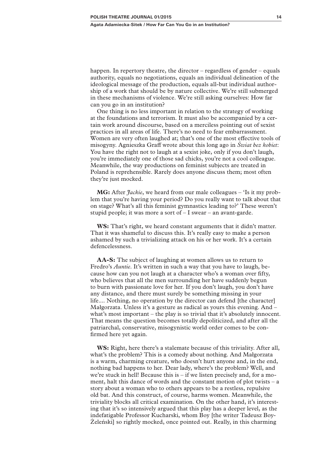happen. In repertory theatre, the director – regardless of gender – equals authority, equals no negotiations, equals an individual delineation of the ideological message of the production, equals all-but individual authorship of a work that should be by nature collective. We're still submerged in these mechanisms of violence. We're still asking ourselves: How far can you go in an institution?

One thing is no less important in relation to the strategy of working at the foundations and terrorism. It must also be accompanied by a certain work around discourse, based on a merciless pointing out of sexist practices in all areas of life. There's no need to fear embarrassment. Women are very often laughed at; that's one of the most effective tools of misogyny. Agnieszka Graff wrote about this long ago in *Świat bez kobiet*: You have the right not to laugh at a sexist joke, only if you don't laugh, you're immediately one of those sad chicks, you're not a cool colleague. Meanwhile, the way productions on feminist subjects are treated in Poland is reprehensible. Rarely does anyone discuss them; most often they're just mocked.

**MG:** After *Jackie*, we heard from our male colleagues – 'Is it my problem that you're having your period? Do you really want to talk about that on stage? What's all this feminist gymnastics leading to?' These weren't stupid people; it was more a sort of – I swear – an avant-garde.

**WS:** That's right, we heard constant arguments that it didn't matter. That it was shameful to discuss this. It's really easy to make a person ashamed by such a trivializing attack on his or her work. It's a certain defencelessness.

**AA-S:** The subject of laughing at women allows us to return to Fredro's *Auntie*. It's written in such a way that you have to laugh, because how can you not laugh at a character who's a woman over fifty, who believes that all the men surrounding her have suddenly begun to burn with passionate love for her. If you don't laugh, you don't have any distance, and there must surely be something missing in your life.... Nothing, no operation by the director can defend [the character] Małgorzata. Unless it's a gesture as radical as yours this evening. And – what's most important – the play is so trivial that it's absolutely innocent. That means the question becomes totally depoliticized, and after all the patriarchal, conservative, misogynistic world order comes to be confirmed here yet again.

**WS:** Right, here there's a stalemate because of this triviality. After all, what's the problem? This is a comedy about nothing. And Małgorzata is a warm, charming creature, who doesn't hurt anyone and, in the end, nothing bad happens to her. Dear lady, where's the problem? Well, and we're stuck in hell! Because this is – if we listen precisely and, for a moment, halt this dance of words and the constant motion of plot twists – a story about a woman who to others appears to be a restless, repulsive old bat. And this construct, of course, harms women. Meanwhile, the triviality blocks all critical examination. On the other hand, it's interesting that it's so intensively argued that this play has a deeper level, as the indefatigable Professor Kucharski, whom Boy [the writer Tadeusz Boy-Żeleński] so rightly mocked, once pointed out. Really, in this charming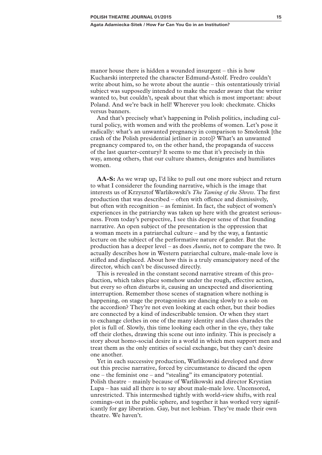manor house there is hidden a wounded insurgent – this is how Kucharski interpreted the character Edmund-Astolf. Fredro couldn't write about him, so he wrote about the auntie – this ostentatiously trivial subject was supposedly intended to make the reader aware that the writer wanted to, but couldn't, speak about that which is most important: about Poland. And we're back in hell! Wherever you look: checkmate. Chicks versus banners.

And that's precisely what's happening in Polish politics, including cultural policy, with women and with the problems of women. Let's pose it radically: what's an unwanted pregnancy in comparison to Smolensk [the crash of the Polish presidential jetliner in 2010]? What's an unwanted pregnancy compared to, on the other hand, the propaganda of success of the last quarter-century? It seems to me that it's precisely in this way, among others, that our culture shames, denigrates and humiliates women.

**AA-S:** As we wrap up, I'd like to pull out one more subject and return to what I considerer the founding narrative, which is the image that interests us of Krzysztof Warlikowski's *The Taming of the Shrew*. The first production that was described – often with offence and dismissively, but often with recognition – as feminist. In fact, the subject of women's experiences in the patriarchy was taken up here with the greatest seriousness. From today's perspective, I see this deeper sense of that founding narrative. An open subject of the presentation is the oppression that a woman meets in a patriarchal culture – and by the way, a fantastic lecture on the subject of the performative nature of gender. But the production has a deeper level – as does *Auntie*, not to compare the two. It actually describes how in Western patriarchal culture, male-male love is stifled and displaced. About how this is a truly emancipatory need of the director, which can't be discussed directly.

This is revealed in the constant second narrative stream of this production, which takes place somehow under the rough, effective action, but every so often disturbs it, causing an unexpected and disorienting interruption. Remember those scenes of stagnation where nothing is happening, on stage the protagonists are dancing slowly to a solo on the accordion? They're not even looking at each other, but their bodies are connected by a kind of indescribable tension. Or when they start to exchange clothes in one of the many identity and class charades the plot is full of. Slowly, this time looking each other in the eye, they take off their clothes, drawing this scene out into infinity. This is precisely a story about homo-social desire in a world in which men support men and treat them as the only entities of social exchange, but they can't desire one another.

Yet in each successive production, Warlikowski developed and drew out this precise narrative, forced by circumstance to discard the open one – the feminist one – and "stealing" its emancipatory potential. Polish theatre – mainly because of Warlikowski and director Krystian Lupa – has said all there is to say about male-male love. Uncensored, unrestricted. This intermeshed tightly with world-view shifts, with real comings-out in the public sphere, and together it has worked very significantly for gay liberation. Gay, but not lesbian. They've made their own theatre. We haven't.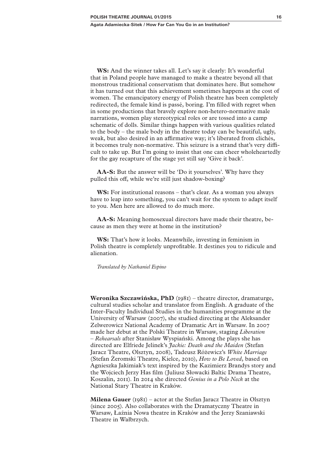**Agata Adamiecka-Sitek / How Far Can You Go in an Institution?** 

**WS:** And the winner takes all. Let's say it clearly: It's wonderful that in Poland people have managed to make a theatre beyond all that monstrous traditional conservatism that dominates here. But somehow it has turned out that this achievement sometimes happens at the cost of women. The emancipatory energy of Polish theatre has been completely redirected, the female kind is passé, boring. I'm filled with regret when in some productions that bravely explore non-hetero-normative male narrations, women play stereotypical roles or are tossed into a camp schematic of dolls. Similar things happen with various qualities related to the body – the male body in the theatre today can be beautiful, ugly, weak, but also desired in an affirmative way; it's liberated from clichés, it becomes truly non-normative. This seizure is a strand that's very difficult to take up. But I'm going to insist that one can cheer wholeheartedly for the gay recapture of the stage yet still say 'Give it back'.

**AA-S:** But the answer will be 'Do it yourselves'. Why have they pulled this off, while we're still just shadow-boxing?

**WS:** For institutional reasons – that's clear. As a woman you always have to leap into something, you can't wait for the system to adapt itself to you. Men here are allowed to do much more.

**AA-S:** Meaning homosexual directors have made their theatre, because as men they were at home in the institution?

**WS:** That's how it looks. Meanwhile, investing in feminism in Polish theatre is completely unprofitable. It destines you to ridicule and alienation.

*Translated by Nathaniel Espino*

**Weronika Szczawińska, PhD** (1981) – theatre director, dramaturge, cultural studies scholar and translator from English. A graduate of the Inter-Faculty Individual Studies in the humanities programme at the University of Warsaw (2007), she studied directing at the Aleksander Zelwerowicz National Academy of Dramatic Art in Warsaw. In 2007 made her debut at the Polski Theatre in Warsaw, staging *Liberation – Rehearsals* after Stanisław Wyspiański. Among the plays she has directed are Elfriede Jelinek's *Jackie: Death and the Maiden* (Stefan Jaracz Theatre, Olsztyn, 2008), Tadeusz Różewicz's *White Marriage* (Stefan Żeromski Theatre, Kielce, 2010), *How to Be Loved*, based on Agnieszka Jakimiak's text inspired by the Kazimierz Brandys story and the Wojciech Jerzy Has film (Juliusz Słowacki Baltic Drama Theatre, Koszalin, 2011). In 2014 she directed *Genius in a Polo Neck* at the National Stary Theatre in Kraków.

**Milena Gauer** (1981) – actor at the Stefan Jaracz Theatre in Olsztyn (since 2005). Also collaborates with the Dramatyczny Theatre in Warsaw, Łaźnia Nowa theatre in Kraków and the Jerzy Szaniawski Theatre in Wałbrzych.